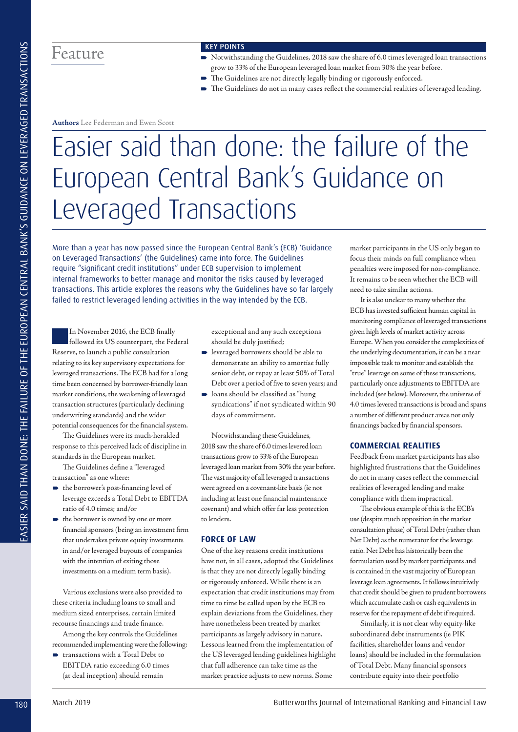# Feature

#### Key Points

- Notwithstanding the Guidelines, 2018 saw the share of 6.0 times leveraged loan transactions grow to 33% of the European leveraged loan market from 30% the year before.
- The Guidelines are not directly legally binding or rigorously enforced.
- The Guidelines do not in many cases reflect the commercial realities of leveraged lending.

**Authors** Lee Federman and Ewen Scott

# Easier said than done: the failure of the European Central Bank's Guidance on Leveraged Transactions

More than a year has now passed since the European Central Bank's (ECB) 'Guidance on Leveraged Transactions' (the Guidelines) came into force. The Guidelines require "significant credit institutions" under ECB supervision to implement internal frameworks to better manage and monitor the risks caused by leveraged transactions. This article explores the reasons why the Guidelines have so far largely failed to restrict leveraged lending activities in the way intended by the ECB.

■In November 2016, the ECB finally followed its US counterpart, the Federal Reserve, to launch a public consultation relating to its key supervisory expectations for leveraged transactions. The ECB had for a long time been concerned by borrower-friendly loan market conditions, the weakening of leveraged transaction structures (particularly declining underwriting standards) and the wider potential consequences for the financial system.

The Guidelines were its much-heralded response to this perceived lack of discipline in standards in the European market.

The Guidelines define a "leveraged transaction" as one where:

- the borrower's post-financing level of leverage exceeds a Total Debt to EBITDA ratio of 4.0 times; and/or
- the borrower is owned by one or more financial sponsors (being an investment firm that undertakes private equity investments in and/or leveraged buyouts of companies with the intention of exiting those investments on a medium term basis).

Various exclusions were also provided to these criteria including loans to small and medium sized enterprises, certain limited recourse financings and trade finance.

Among the key controls the Guidelines recommended implementing were the following:

■ transactions with a Total Debt to EBITDA ratio exceeding 6.0 times (at deal inception) should remain

exceptional and any such exceptions should be duly justified;

- leveraged borrowers should be able to demonstrate an ability to amortise fully senior debt, or repay at least 50% of Total Debt over a period of five to seven years; and
- loans should be classified as "hung syndications" if not syndicated within 90 days of commitment.

Notwithstanding these Guidelines, 2018 saw the share of 6.0 times levered loan transactions grow to 33% of the European leveraged loan market from 30% the year before. The vast majority of all leveraged transactions were agreed on a covenant-lite basis (ie not including at least one financial maintenance covenant) and which offer far less protection to lenders.

## **Force of law**

One of the key reasons credit institutions have not, in all cases, adopted the Guidelines is that they are not directly legally binding or rigorously enforced. While there is an expectation that credit institutions may from time to time be called upon by the ECB to explain deviations from the Guidelines, they have nonetheless been treated by market participants as largely advisory in nature. Lessons learned from the implementation of the US leveraged lending guidelines highlight that full adherence can take time as the market practice adjusts to new norms. Some

market participants in the US only began to focus their minds on full compliance when penalties were imposed for non-compliance. It remains to be seen whether the ECB will need to take similar actions.

It is also unclear to many whether the ECB has invested sufficient human capital in monitoring compliance of leveraged transactions given high levels of market activity across Europe. When you consider the complexities of the underlying documentation, it can be a near impossible task to monitor and establish the "true" leverage on some of these transactions, particularly once adjustments to EBITDA are included (see below). Moreover, the universe of 4.0 times levered transactions is broad and spans a number of different product areas not only financings backed by financial sponsors.

# **Commercial realities**

Feedback from market participants has also highlighted frustrations that the Guidelines do not in many cases reflect the commercial realities of leveraged lending and make compliance with them impractical.

The obvious example of this is the ECB's use (despite much opposition in the market consultation phase) of Total Debt (rather than Net Debt) as the numerator for the leverage ratio. Net Debt has historically been the formulation used by market participants and is contained in the vast majority of European leverage loan agreements. It follows intuitively that credit should be given to prudent borrowers which accumulate cash or cash equivalents in reserve for the repayment of debt if required.

Similarly, it is not clear why equity-like subordinated debt instruments (ie PIK facilities, shareholder loans and vendor loans) should be included in the formulation of Total Debt. Many financial sponsors contribute equity into their portfolio